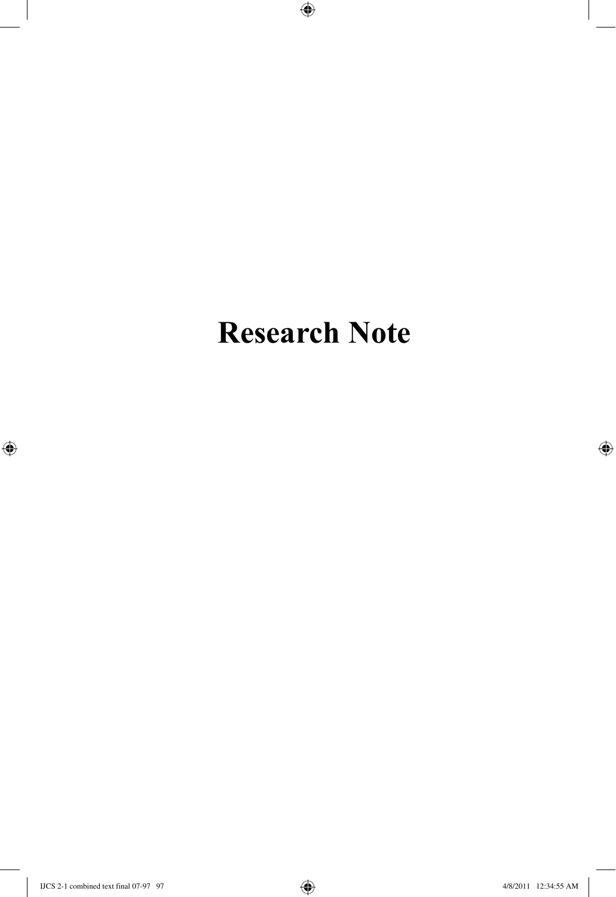# **Research Note**

 $\bigoplus$ 

 $\bigoplus$ 

 $\bigoplus$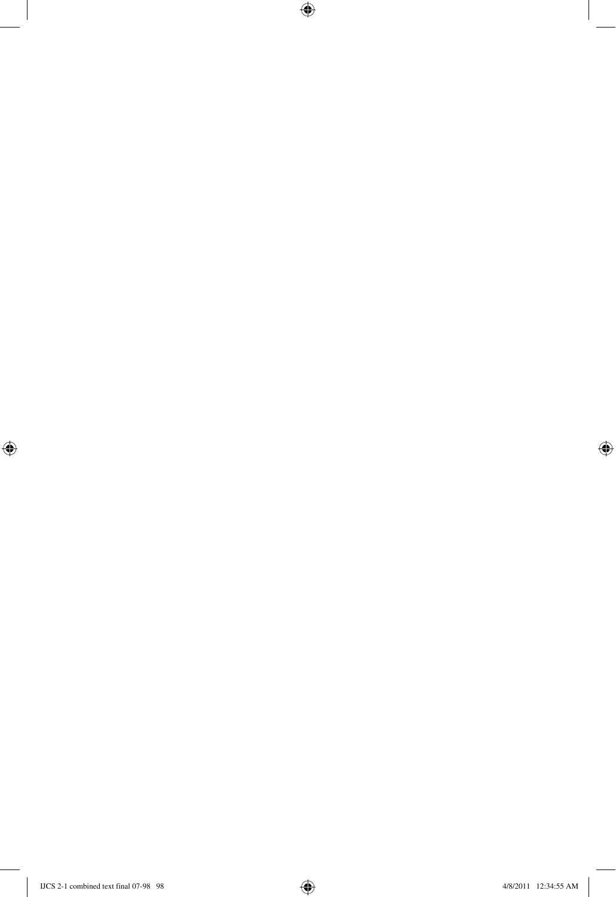

 $\overline{\phantom{a}}$ 

 $\bigoplus$ 

 $\bigoplus$ 

I

 $\bigoplus$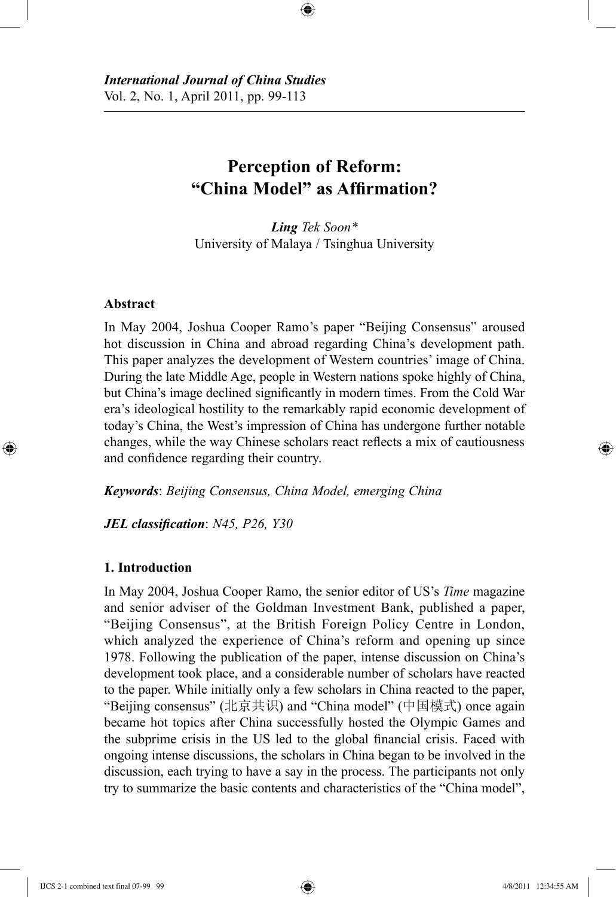*International Journal of China Studies* Vol. 2, No. 1, April 2011, pp. 99-113

# **Perception of Reform: "China Model" as Affirmation?**

⊕

*Ling Tek Soon\** University of Malaya / Tsinghua University

# **Abstract**

⊕

In May 2004, Joshua Cooper Ramo's paper "Beijing Consensus" aroused hot discussion in China and abroad regarding China's development path. This paper analyzes the development of Western countries' image of China. During the late Middle Age, people in Western nations spoke highly of China, but China's image declined significantly in modern times. From the Cold War era's ideological hostility to the remarkably rapid economic development of today's China, the West's impression of China has undergone further notable changes, while the way Chinese scholars react reflects a mix of cautiousness and confidence regarding their country.

*Keywords*: *Beijing Consensus, China Model, emerging China*

*JEL classification*: *N45, P26, Y30*

#### **1. Introduction**

In May 2004, Joshua Cooper Ramo, the senior editor of US's *Time* magazine and senior adviser of the Goldman Investment Bank, published a paper, "Beijing Consensus", at the British Foreign Policy Centre in London, which analyzed the experience of China's reform and opening up since 1978. Following the publication of the paper, intense discussion on China's development took place, and a considerable number of scholars have reacted to the paper. While initially only a few scholars in China reacted to the paper, "Beijing consensus" (北京共识) and "China model" (中国模式) once again became hot topics after China successfully hosted the Olympic Games and the subprime crisis in the US led to the global financial crisis. Faced with ongoing intense discussions, the scholars in China began to be involved in the discussion, each trying to have a say in the process. The participants not only try to summarize the basic contents and characteristics of the "China model",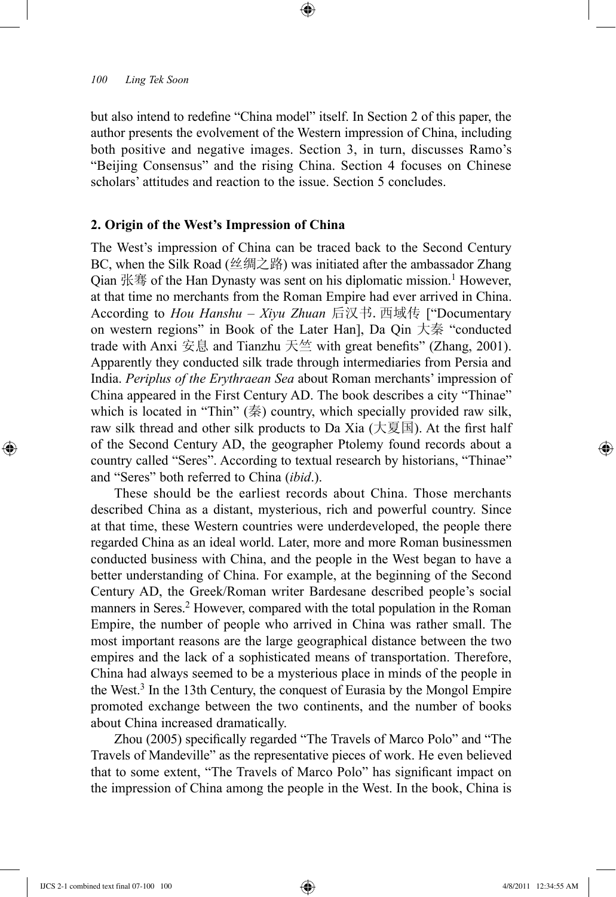but also intend to redefine "China model" itself. In Section 2 of this paper, the author presents the evolvement of the Western impression of China, including both positive and negative images. Section 3, in turn, discusses Ramo's "Beijing Consensus" and the rising China. Section 4 focuses on Chinese scholars' attitudes and reaction to the issue. Section 5 concludes.

⊕

#### **2. Origin of the West's Impression of China**

The West's impression of China can be traced back to the Second Century BC, when the Silk Road (丝绸之路) was initiated after the ambassador Zhang Oian 张骞 of the Han Dynasty was sent on his diplomatic mission.<sup>1</sup> However, at that time no merchants from the Roman Empire had ever arrived in China. According to *Hou Hanshu – Xiyu Zhuan* 后汉书.西域传 ["Documentary on western regions" in Book of the Later Han], Da Qin 大秦 "conducted trade with Anxi 安息 and Tianzhu 天竺 with great benefits" (Zhang, 2001). Apparently they conducted silk trade through intermediaries from Persia and India. *Periplus of the Erythraean Sea* about Roman merchants' impression of China appeared in the First Century AD. The book describes a city "Thinae" which is located in "Thin" (秦) country, which specially provided raw silk, raw silk thread and other silk products to Da Xia (大夏国). At the first half of the Second Century AD, the geographer Ptolemy found records about a country called "Seres". According to textual research by historians, "Thinae" and "Seres" both referred to China (*ibid*.).

These should be the earliest records about China. Those merchants described China as a distant, mysterious, rich and powerful country. Since at that time, these Western countries were underdeveloped, the people there regarded China as an ideal world. Later, more and more Roman businessmen conducted business with China, and the people in the West began to have a better understanding of China. For example, at the beginning of the Second Century AD, the Greek/Roman writer Bardesane described people's social manners in Seres.<sup>2</sup> However, compared with the total population in the Roman Empire, the number of people who arrived in China was rather small. The most important reasons are the large geographical distance between the two empires and the lack of a sophisticated means of transportation. Therefore, China had always seemed to be a mysterious place in minds of the people in the West.<sup>3</sup> In the 13th Century, the conquest of Eurasia by the Mongol Empire promoted exchange between the two continents, and the number of books about China increased dramatically.

Zhou (2005) specifically regarded "The Travels of Marco Polo" and "The Travels of Mandeville" as the representative pieces of work. He even believed that to some extent, "The Travels of Marco Polo" has significant impact on the impression of China among the people in the West. In the book, China is

⊕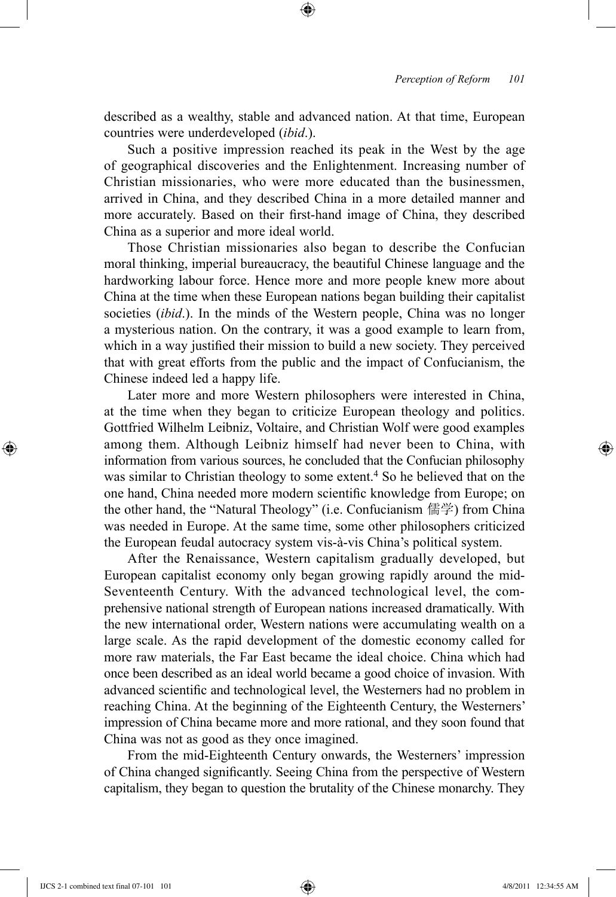described as a wealthy, stable and advanced nation. At that time, European countries were underdeveloped (*ibid*.).

⊕

Such a positive impression reached its peak in the West by the age of geographical discoveries and the Enlightenment. Increasing number of Christian missionaries, who were more educated than the businessmen, arrived in China, and they described China in a more detailed manner and more accurately. Based on their first-hand image of China, they described China as a superior and more ideal world.

Those Christian missionaries also began to describe the Confucian moral thinking, imperial bureaucracy, the beautiful Chinese language and the hardworking labour force. Hence more and more people knew more about China at the time when these European nations began building their capitalist societies (*ibid*.). In the minds of the Western people, China was no longer a mysterious nation. On the contrary, it was a good example to learn from, which in a way justified their mission to build a new society. They perceived that with great efforts from the public and the impact of Confucianism, the Chinese indeed led a happy life.

Later more and more Western philosophers were interested in China, at the time when they began to criticize European theology and politics. Gottfried Wilhelm Leibniz, Voltaire, and Christian Wolf were good examples among them. Although Leibniz himself had never been to China, with information from various sources, he concluded that the Confucian philosophy was similar to Christian theology to some extent.<sup>4</sup> So he believed that on the one hand, China needed more modern scientific knowledge from Europe; on the other hand, the "Natural Theology" (i.e. Confucianism 儒学) from China was needed in Europe. At the same time, some other philosophers criticized the European feudal autocracy system vis-à-vis China's political system.

After the Renaissance, Western capitalism gradually developed, but European capitalist economy only began growing rapidly around the mid-Seventeenth Century. With the advanced technological level, the comprehensive national strength of European nations increased dramatically. With the new international order, Western nations were accumulating wealth on a large scale. As the rapid development of the domestic economy called for more raw materials, the Far East became the ideal choice. China which had once been described as an ideal world became a good choice of invasion. With advanced scientific and technological level, the Westerners had no problem in reaching China. At the beginning of the Eighteenth Century, the Westerners' impression of China became more and more rational, and they soon found that China was not as good as they once imagined.

From the mid-Eighteenth Century onwards, the Westerners' impression of China changed significantly. Seeing China from the perspective of Western capitalism, they began to question the brutality of the Chinese monarchy. They

IJCS 2-1 combined text final 07-101 101 4/8/2011 12:34:55 AM

⊕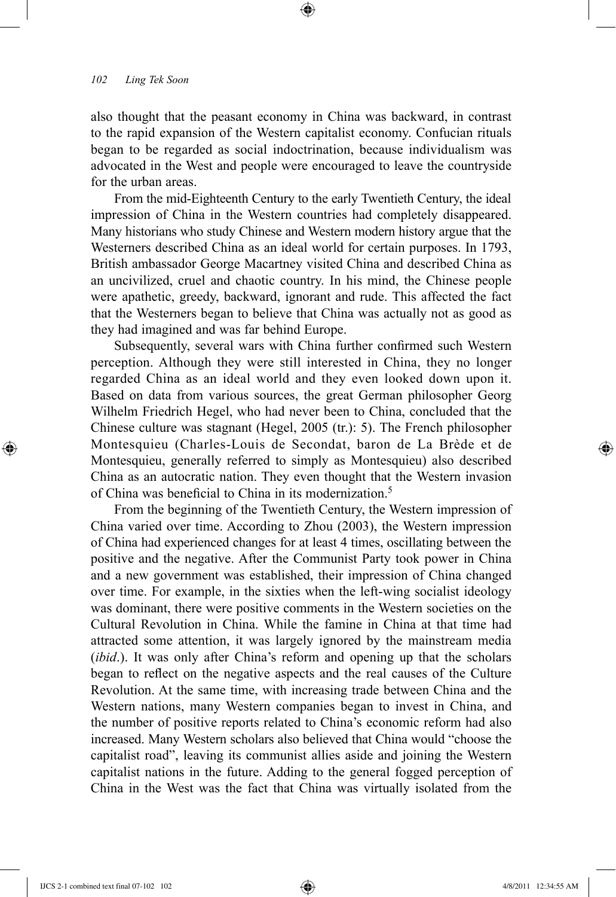#### *102 Ling Tek Soon*

also thought that the peasant economy in China was backward, in contrast to the rapid expansion of the Western capitalist economy. Confucian rituals began to be regarded as social indoctrination, because individualism was advocated in the West and people were encouraged to leave the countryside for the urban areas.

⊕

From the mid-Eighteenth Century to the early Twentieth Century, the ideal impression of China in the Western countries had completely disappeared. Many historians who study Chinese and Western modern history argue that the Westerners described China as an ideal world for certain purposes. In 1793, British ambassador George Macartney visited China and described China as an uncivilized, cruel and chaotic country. In his mind, the Chinese people were apathetic, greedy, backward, ignorant and rude. This affected the fact that the Westerners began to believe that China was actually not as good as they had imagined and was far behind Europe.

Subsequently, several wars with China further confirmed such Western perception. Although they were still interested in China, they no longer regarded China as an ideal world and they even looked down upon it. Based on data from various sources, the great German philosopher Georg Wilhelm Friedrich Hegel, who had never been to China, concluded that the Chinese culture was stagnant (Hegel, 2005 (tr.): 5). The French philosopher Montesquieu (Charles-Louis de Secondat, baron de La Brède et de Montesquieu, generally referred to simply as Montesquieu) also described China as an autocratic nation. They even thought that the Western invasion of China was beneficial to China in its modernization.<sup>5</sup>

From the beginning of the Twentieth Century, the Western impression of China varied over time. According to Zhou (2003), the Western impression of China had experienced changes for at least 4 times, oscillating between the positive and the negative. After the Communist Party took power in China and a new government was established, their impression of China changed over time. For example, in the sixties when the left-wing socialist ideology was dominant, there were positive comments in the Western societies on the Cultural Revolution in China. While the famine in China at that time had attracted some attention, it was largely ignored by the mainstream media (*ibid*.). It was only after China's reform and opening up that the scholars began to reflect on the negative aspects and the real causes of the Culture Revolution. At the same time, with increasing trade between China and the Western nations, many Western companies began to invest in China, and the number of positive reports related to China's economic reform had also increased. Many Western scholars also believed that China would "choose the capitalist road", leaving its communist allies aside and joining the Western capitalist nations in the future. Adding to the general fogged perception of China in the West was the fact that China was virtually isolated from the

⊕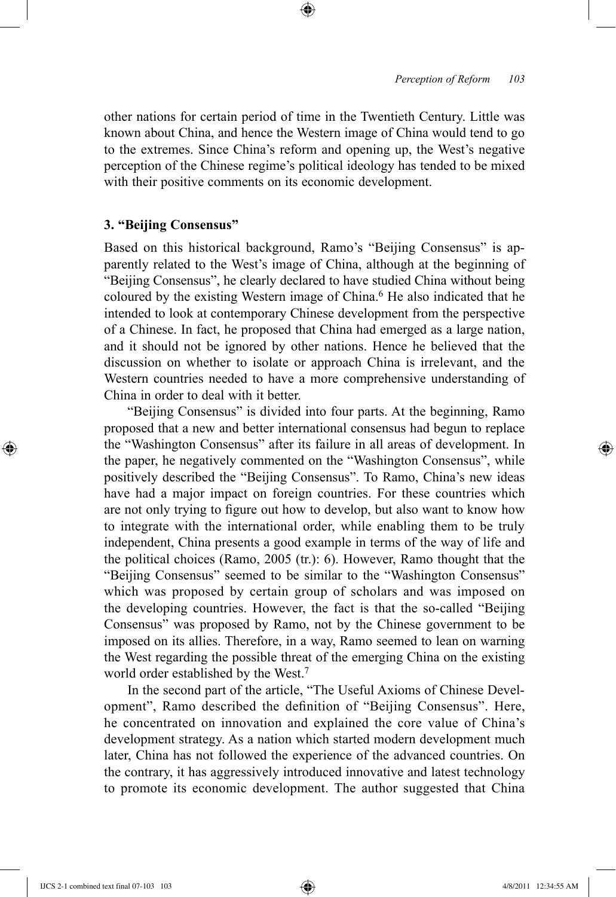other nations for certain period of time in the Twentieth Century. Little was known about China, and hence the Western image of China would tend to go to the extremes. Since China's reform and opening up, the West's negative perception of the Chinese regime's political ideology has tended to be mixed with their positive comments on its economic development.

⊕

# **3. "Beijing Consensus"**

Based on this historical background, Ramo's "Beijing Consensus" is apparently related to the West's image of China, although at the beginning of "Beijing Consensus", he clearly declared to have studied China without being coloured by the existing Western image of China.<sup>6</sup> He also indicated that he intended to look at contemporary Chinese development from the perspective of a Chinese. In fact, he proposed that China had emerged as a large nation, and it should not be ignored by other nations. Hence he believed that the discussion on whether to isolate or approach China is irrelevant, and the Western countries needed to have a more comprehensive understanding of China in order to deal with it better.

"Beijing Consensus" is divided into four parts. At the beginning, Ramo proposed that a new and better international consensus had begun to replace the "Washington Consensus" after its failure in all areas of development. In the paper, he negatively commented on the "Washington Consensus", while positively described the "Beijing Consensus". To Ramo, China's new ideas have had a major impact on foreign countries. For these countries which are not only trying to figure out how to develop, but also want to know how to integrate with the international order, while enabling them to be truly independent, China presents a good example in terms of the way of life and the political choices (Ramo, 2005 (tr.): 6). However, Ramo thought that the "Beijing Consensus" seemed to be similar to the "Washington Consensus" which was proposed by certain group of scholars and was imposed on the developing countries. However, the fact is that the so-called "Beijing Consensus" was proposed by Ramo, not by the Chinese government to be imposed on its allies. Therefore, in a way, Ramo seemed to lean on warning the West regarding the possible threat of the emerging China on the existing world order established by the West.<sup>7</sup>

In the second part of the article, "The Useful Axioms of Chinese Development", Ramo described the definition of "Beijing Consensus". Here, he concentrated on innovation and explained the core value of China's development strategy. As a nation which started modern development much later, China has not followed the experience of the advanced countries. On the contrary, it has aggressively introduced innovative and latest technology to promote its economic development. The author suggested that China

⊕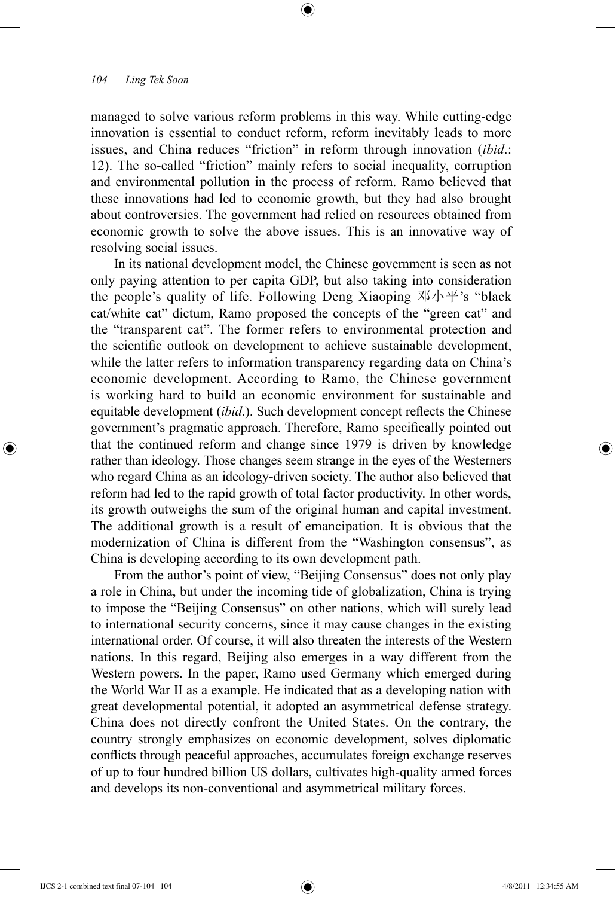managed to solve various reform problems in this way. While cutting-edge innovation is essential to conduct reform, reform inevitably leads to more issues, and China reduces "friction" in reform through innovation (*ibid*.: 12). The so-called "friction" mainly refers to social inequality, corruption and environmental pollution in the process of reform. Ramo believed that these innovations had led to economic growth, but they had also brought about controversies. The government had relied on resources obtained from economic growth to solve the above issues. This is an innovative way of resolving social issues.

⊕

In its national development model, the Chinese government is seen as not only paying attention to per capita GDP, but also taking into consideration the people's quality of life. Following Deng Xiaoping  $\mathcal{N} \wedge \mathcal{N}$ 's "black" cat/white cat" dictum, Ramo proposed the concepts of the "green cat" and the "transparent cat". The former refers to environmental protection and the scientific outlook on development to achieve sustainable development, while the latter refers to information transparency regarding data on China's economic development. According to Ramo, the Chinese government is working hard to build an economic environment for sustainable and equitable development (*ibid*.). Such development concept reflects the Chinese government's pragmatic approach. Therefore, Ramo specifically pointed out that the continued reform and change since 1979 is driven by knowledge rather than ideology. Those changes seem strange in the eyes of the Westerners who regard China as an ideology-driven society. The author also believed that reform had led to the rapid growth of total factor productivity. In other words, its growth outweighs the sum of the original human and capital investment. The additional growth is a result of emancipation. It is obvious that the modernization of China is different from the "Washington consensus", as China is developing according to its own development path.

From the author's point of view, "Beijing Consensus" does not only play a role in China, but under the incoming tide of globalization, China is trying to impose the "Beijing Consensus" on other nations, which will surely lead to international security concerns, since it may cause changes in the existing international order. Of course, it will also threaten the interests of the Western nations. In this regard, Beijing also emerges in a way different from the Western powers. In the paper, Ramo used Germany which emerged during the World War II as a example. He indicated that as a developing nation with great developmental potential, it adopted an asymmetrical defense strategy. China does not directly confront the United States. On the contrary, the country strongly emphasizes on economic development, solves diplomatic conflicts through peaceful approaches, accumulates foreign exchange reserves of up to four hundred billion US dollars, cultivates high-quality armed forces and develops its non-conventional and asymmetrical military forces.

⊕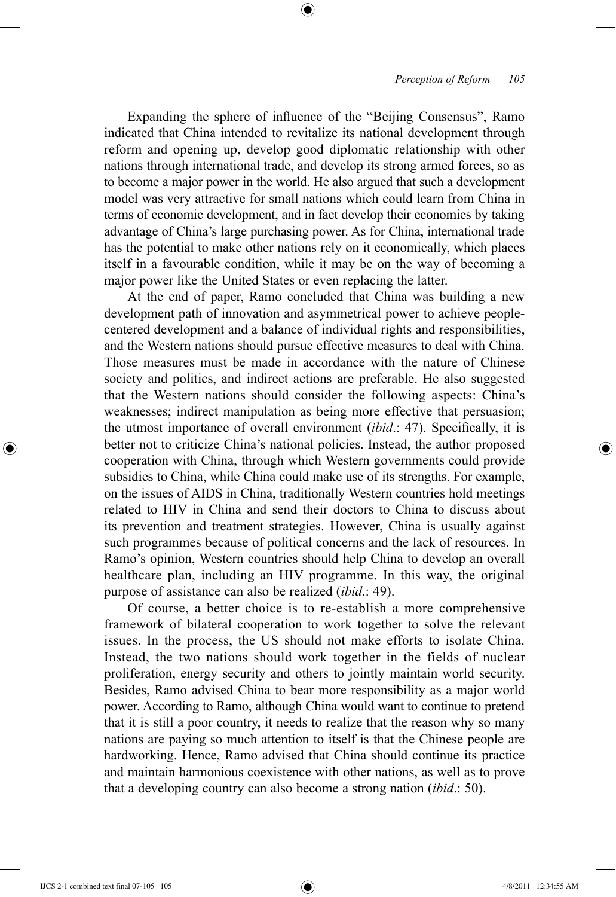Expanding the sphere of influence of the "Beijing Consensus", Ramo indicated that China intended to revitalize its national development through reform and opening up, develop good diplomatic relationship with other nations through international trade, and develop its strong armed forces, so as to become a major power in the world. He also argued that such a development model was very attractive for small nations which could learn from China in terms of economic development, and in fact develop their economies by taking advantage of China's large purchasing power. As for China, international trade has the potential to make other nations rely on it economically, which places itself in a favourable condition, while it may be on the way of becoming a major power like the United States or even replacing the latter.

⊕

At the end of paper, Ramo concluded that China was building a new development path of innovation and asymmetrical power to achieve peoplecentered development and a balance of individual rights and responsibilities, and the Western nations should pursue effective measures to deal with China. Those measures must be made in accordance with the nature of Chinese society and politics, and indirect actions are preferable. He also suggested that the Western nations should consider the following aspects: China's weaknesses; indirect manipulation as being more effective that persuasion; the utmost importance of overall environment (*ibid*.: 47). Specifically, it is better not to criticize China's national policies. Instead, the author proposed cooperation with China, through which Western governments could provide subsidies to China, while China could make use of its strengths. For example, on the issues of AIDS in China, traditionally Western countries hold meetings related to HIV in China and send their doctors to China to discuss about its prevention and treatment strategies. However, China is usually against such programmes because of political concerns and the lack of resources. In Ramo's opinion, Western countries should help China to develop an overall healthcare plan, including an HIV programme. In this way, the original purpose of assistance can also be realized (*ibid*.: 49).

Of course, a better choice is to re-establish a more comprehensive framework of bilateral cooperation to work together to solve the relevant issues. In the process, the US should not make efforts to isolate China. Instead, the two nations should work together in the fields of nuclear proliferation, energy security and others to jointly maintain world security. Besides, Ramo advised China to bear more responsibility as a major world power. According to Ramo, although China would want to continue to pretend that it is still a poor country, it needs to realize that the reason why so many nations are paying so much attention to itself is that the Chinese people are hardworking. Hence, Ramo advised that China should continue its practice and maintain harmonious coexistence with other nations, as well as to prove that a developing country can also become a strong nation (*ibid*.: 50).

⊕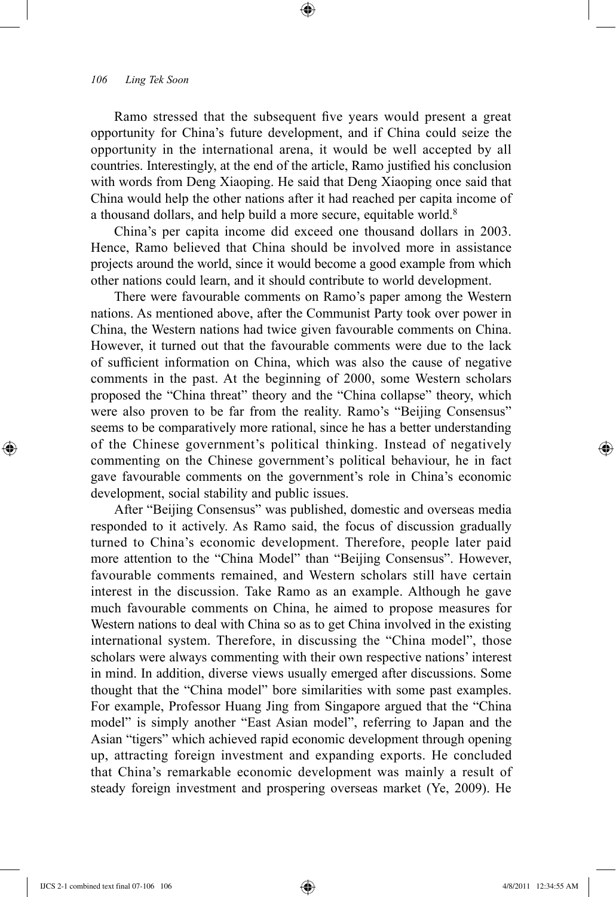#### *106 Ling Tek Soon*

Ramo stressed that the subsequent five years would present a great opportunity for China's future development, and if China could seize the opportunity in the international arena, it would be well accepted by all countries. Interestingly, at the end of the article, Ramo justified his conclusion with words from Deng Xiaoping. He said that Deng Xiaoping once said that China would help the other nations after it had reached per capita income of a thousand dollars, and help build a more secure, equitable world.<sup>8</sup>

⊕

China's per capita income did exceed one thousand dollars in 2003. Hence, Ramo believed that China should be involved more in assistance projects around the world, since it would become a good example from which other nations could learn, and it should contribute to world development.

There were favourable comments on Ramo's paper among the Western nations. As mentioned above, after the Communist Party took over power in China, the Western nations had twice given favourable comments on China. However, it turned out that the favourable comments were due to the lack of sufficient information on China, which was also the cause of negative comments in the past. At the beginning of 2000, some Western scholars proposed the "China threat" theory and the "China collapse" theory, which were also proven to be far from the reality. Ramo's "Beijing Consensus" seems to be comparatively more rational, since he has a better understanding of the Chinese government's political thinking. Instead of negatively commenting on the Chinese government's political behaviour, he in fact gave favourable comments on the government's role in China's economic development, social stability and public issues.

After "Beijing Consensus" was published, domestic and overseas media responded to it actively. As Ramo said, the focus of discussion gradually turned to China's economic development. Therefore, people later paid more attention to the "China Model" than "Beijing Consensus". However, favourable comments remained, and Western scholars still have certain interest in the discussion. Take Ramo as an example. Although he gave much favourable comments on China, he aimed to propose measures for Western nations to deal with China so as to get China involved in the existing international system. Therefore, in discussing the "China model", those scholars were always commenting with their own respective nations' interest in mind. In addition, diverse views usually emerged after discussions. Some thought that the "China model" bore similarities with some past examples. For example, Professor Huang Jing from Singapore argued that the "China model" is simply another "East Asian model", referring to Japan and the Asian "tigers" which achieved rapid economic development through opening up, attracting foreign investment and expanding exports. He concluded that China's remarkable economic development was mainly a result of steady foreign investment and prospering overseas market (Ye, 2009). He

⊕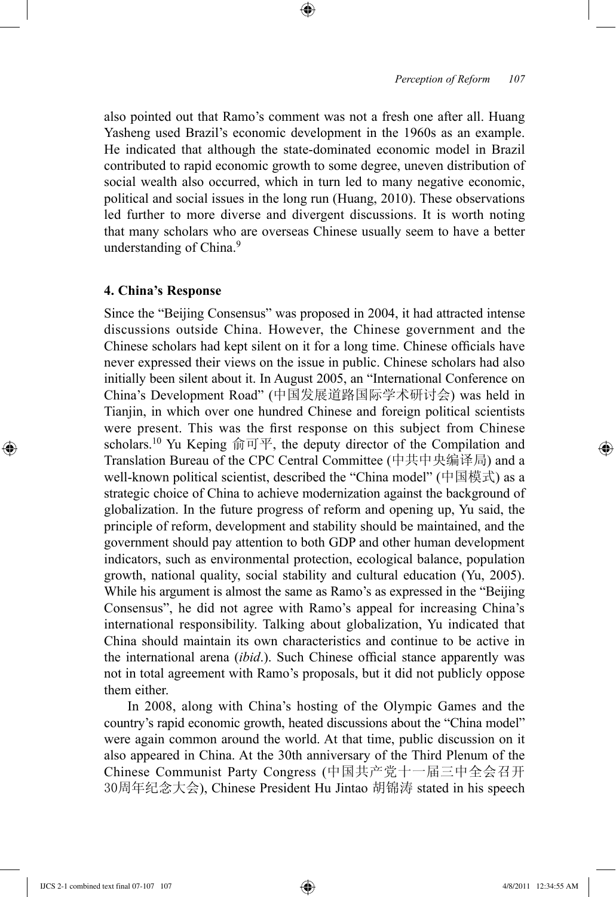also pointed out that Ramo's comment was not a fresh one after all. Huang Yasheng used Brazil's economic development in the 1960s as an example. He indicated that although the state-dominated economic model in Brazil contributed to rapid economic growth to some degree, uneven distribution of social wealth also occurred, which in turn led to many negative economic, political and social issues in the long run (Huang, 2010). These observations led further to more diverse and divergent discussions. It is worth noting that many scholars who are overseas Chinese usually seem to have a better understanding of China.<sup>9</sup>

⊕

#### **4. China's Response**

⊕

Since the "Beijing Consensus" was proposed in 2004, it had attracted intense discussions outside China. However, the Chinese government and the Chinese scholars had kept silent on it for a long time. Chinese officials have never expressed their views on the issue in public. Chinese scholars had also initially been silent about it. In August 2005, an "International Conference on China's Development Road" (中国发展道路国际学术研讨会) was held in Tianjin, in which over one hundred Chinese and foreign political scientists were present. This was the first response on this subject from Chinese scholars.<sup>10</sup> Yu Keping 俞可平, the deputy director of the Compilation and Translation Bureau of the CPC Central Committee (中共中央编译局) and a well-known political scientist, described the "China model" (中国模式) as a strategic choice of China to achieve modernization against the background of globalization. In the future progress of reform and opening up, Yu said, the principle of reform, development and stability should be maintained, and the government should pay attention to both GDP and other human development indicators, such as environmental protection, ecological balance, population growth, national quality, social stability and cultural education (Yu, 2005). While his argument is almost the same as Ramo's as expressed in the "Beijing Consensus", he did not agree with Ramo's appeal for increasing China's international responsibility. Talking about globalization, Yu indicated that China should maintain its own characteristics and continue to be active in the international arena (*ibid*.). Such Chinese official stance apparently was not in total agreement with Ramo's proposals, but it did not publicly oppose them either.

In 2008, along with China's hosting of the Olympic Games and the country's rapid economic growth, heated discussions about the "China model" were again common around the world. At that time, public discussion on it also appeared in China. At the 30th anniversary of the Third Plenum of the Chinese Communist Party Congress (中国共产党十一届三中全会召开 30周年纪念大会), Chinese President Hu Jintao 胡锦涛 stated in his speech

IJCS 2-1 combined text final 07-107 107 4/8/2011 12:34:55 AM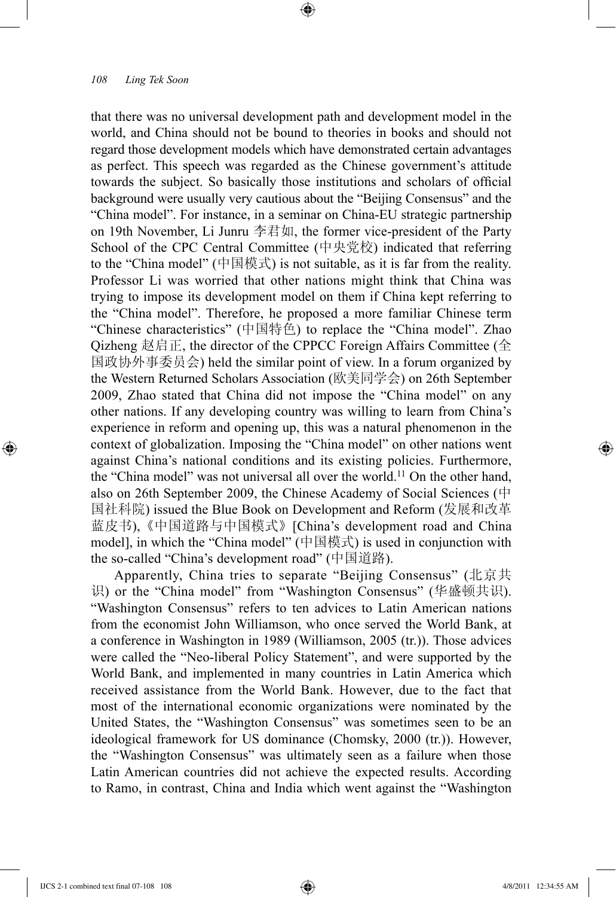that there was no universal development path and development model in the world, and China should not be bound to theories in books and should not regard those development models which have demonstrated certain advantages as perfect. This speech was regarded as the Chinese government's attitude towards the subject. So basically those institutions and scholars of official background were usually very cautious about the "Beijing Consensus" and the "China model". For instance, in a seminar on China-EU strategic partnership on 19th November, Li Junru 李君如, the former vice-president of the Party School of the CPC Central Committee (中央党校) indicated that referring to the "China model" (中国模式) is not suitable, as it is far from the reality. Professor Li was worried that other nations might think that China was trying to impose its development model on them if China kept referring to the "China model". Therefore, he proposed a more familiar Chinese term "Chinese characteristics" (中国特色) to replace the "China model". Zhao Qizheng 赵启正, the director of the CPPCC Foreign Affairs Committee (全 国政协外事委员会) held the similar point of view. In a forum organized by the Western Returned Scholars Association (欧美同学会) on 26th September 2009, Zhao stated that China did not impose the "China model" on any other nations. If any developing country was willing to learn from China's experience in reform and opening up, this was a natural phenomenon in the context of globalization. Imposing the "China model" on other nations went against China's national conditions and its existing policies. Furthermore, the "China model" was not universal all over the world.<sup>11</sup> On the other hand, also on 26th September 2009, the Chinese Academy of Social Sciences (中 国社科院) issued the Blue Book on Development and Reform (发展和改革 蓝皮书),《中国道路与中国模式》[China's development road and China model], in which the "China model" (中国模式) is used in conjunction with the so-called "China's development road" (中国道路).

⊕

Apparently, China tries to separate "Beijing Consensus" (北京共 识) or the "China model" from "Washington Consensus" (华盛顿共识). "Washington Consensus" refers to ten advices to Latin American nations from the economist John Williamson, who once served the World Bank, at a conference in Washington in 1989 (Williamson, 2005 (tr.)). Those advices were called the "Neo-liberal Policy Statement", and were supported by the World Bank, and implemented in many countries in Latin America which received assistance from the World Bank. However, due to the fact that most of the international economic organizations were nominated by the United States, the "Washington Consensus" was sometimes seen to be an ideological framework for US dominance (Chomsky, 2000 (tr.)). However, the "Washington Consensus" was ultimately seen as a failure when those Latin American countries did not achieve the expected results. According to Ramo, in contrast, China and India which went against the "Washington

⊕

↔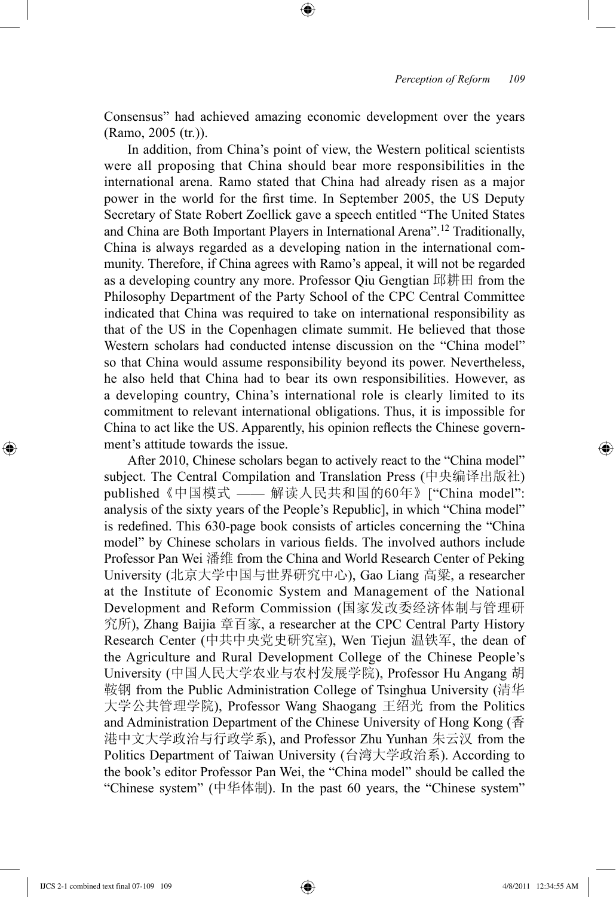Consensus" had achieved amazing economic development over the years (Ramo, 2005 (tr.)).

⊕

In addition, from China's point of view, the Western political scientists were all proposing that China should bear more responsibilities in the international arena. Ramo stated that China had already risen as a major power in the world for the first time. In September 2005, the US Deputy Secretary of State Robert Zoellick gave a speech entitled "The United States and China are Both Important Players in International Arena".12 Traditionally, China is always regarded as a developing nation in the international community. Therefore, if China agrees with Ramo's appeal, it will not be regarded as a developing country any more. Professor Qiu Gengtian 邱耕田 from the Philosophy Department of the Party School of the CPC Central Committee indicated that China was required to take on international responsibility as that of the US in the Copenhagen climate summit. He believed that those Western scholars had conducted intense discussion on the "China model" so that China would assume responsibility beyond its power. Nevertheless, he also held that China had to bear its own responsibilities. However, as a developing country, China's international role is clearly limited to its commitment to relevant international obligations. Thus, it is impossible for China to act like the US. Apparently, his opinion reflects the Chinese government's attitude towards the issue.

After 2010, Chinese scholars began to actively react to the "China model" subject. The Central Compilation and Translation Press (中央编译出版社) published《中国模式 —— 解读人民共和国的60年》["China model": analysis of the sixty years of the People's Republic], in which "China model" is redefined. This 630-page book consists of articles concerning the "China model" by Chinese scholars in various fields. The involved authors include Professor Pan Wei 潘维 from the China and World Research Center of Peking University (北京大学中国与世界研究中心), Gao Liang 高粱, a researcher at the Institute of Economic System and Management of the National Development and Reform Commission (国家发改委经济体制与管理研 究所), Zhang Baijia 章百家, a researcher at the CPC Central Party History Research Center (中共中央党史研究室), Wen Tiejun 温铁军, the dean of the Agriculture and Rural Development College of the Chinese People's University (中国人民大学农业与农村发展学院), Professor Hu Angang 胡 鞍钢 from the Public Administration College of Tsinghua University (清华 大学公共管理学院), Professor Wang Shaogang 王绍光 from the Politics and Administration Department of the Chinese University of Hong Kong (香 港中文大学政治与行政学系), and Professor Zhu Yunhan 朱云汉 from the Politics Department of Taiwan University (台湾大学政治系). According to the book's editor Professor Pan Wei, the "China model" should be called the "Chinese system" (中华体制). In the past 60 years, the "Chinese system"

⊕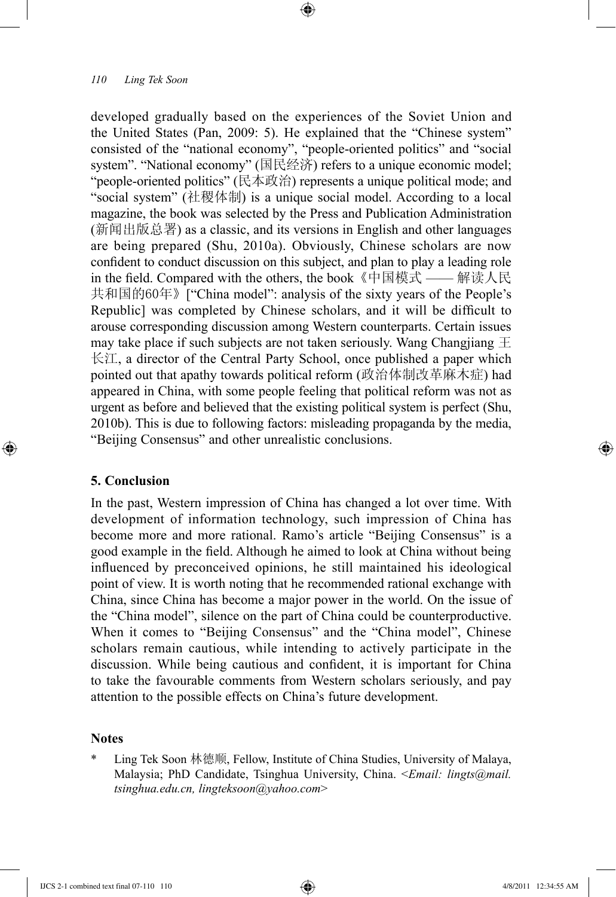developed gradually based on the experiences of the Soviet Union and the United States (Pan, 2009: 5). He explained that the "Chinese system" consisted of the "national economy", "people-oriented politics" and "social system". "National economy" (国民经济) refers to a unique economic model; "people-oriented politics" (民本政治) represents a unique political mode; and "social system" (社稷体制) is a unique social model. According to a local magazine, the book was selected by the Press and Publication Administration (新闻出版总署) as a classic, and its versions in English and other languages are being prepared (Shu, 2010a). Obviously, Chinese scholars are now confident to conduct discussion on this subject, and plan to play a leading role in the field. Compared with the others, the book《中国模式 —— 解读人民 共和国的60年》["China model": analysis of the sixty years of the People's Republic] was completed by Chinese scholars, and it will be difficult to arouse corresponding discussion among Western counterparts. Certain issues may take place if such subjects are not taken seriously. Wang Changjiang  $\pm$ 长江, a director of the Central Party School, once published a paper which pointed out that apathy towards political reform (政治体制改革麻木症) had appeared in China, with some people feeling that political reform was not as urgent as before and believed that the existing political system is perfect (Shu, 2010b). This is due to following factors: misleading propaganda by the media, "Beijing Consensus" and other unrealistic conclusions.

⊕

#### **5. Conclusion**

⊕

In the past, Western impression of China has changed a lot over time. With development of information technology, such impression of China has become more and more rational. Ramo's article "Beijing Consensus" is a good example in the field. Although he aimed to look at China without being influenced by preconceived opinions, he still maintained his ideological point of view. It is worth noting that he recommended rational exchange with China, since China has become a major power in the world. On the issue of the "China model", silence on the part of China could be counterproductive. When it comes to "Beijing Consensus" and the "China model", Chinese scholars remain cautious, while intending to actively participate in the discussion. While being cautious and confident, it is important for China to take the favourable comments from Western scholars seriously, and pay attention to the possible effects on China's future development.

#### **Notes**

Ling Tek Soon 林德顺, Fellow, Institute of China Studies, University of Malaya, Malaysia; PhD Candidate, Tsinghua University, China. <*Email: lingts@mail. tsinghua.edu.cn, lingteksoon@yahoo.com*>

↔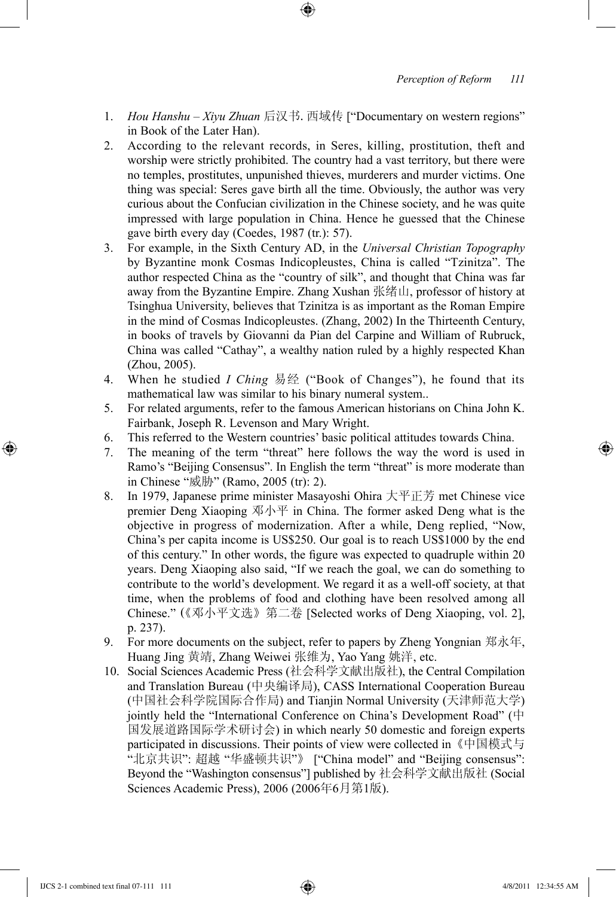- 1. *Hou Hanshu Xiyu Zhuan* 后汉书.西域传 ["Documentary on western regions" in Book of the Later Han).
- 2. According to the relevant records, in Seres, killing, prostitution, theft and worship were strictly prohibited. The country had a vast territory, but there were no temples, prostitutes, unpunished thieves, murderers and murder victims. One thing was special: Seres gave birth all the time. Obviously, the author was very curious about the Confucian civilization in the Chinese society, and he was quite impressed with large population in China. Hence he guessed that the Chinese gave birth every day (Coedes, 1987 (tr.): 57).
- 3. For example, in the Sixth Century AD, in the *Universal Christian Topography*  by Byzantine monk Cosmas Indicopleustes, China is called "Tzinitza". The author respected China as the "country of silk", and thought that China was far away from the Byzantine Empire. Zhang Xushan 张绪山, professor of history at Tsinghua University, believes that Tzinitza is as important as the Roman Empire in the mind of Cosmas Indicopleustes. (Zhang, 2002) In the Thirteenth Century, in books of travels by Giovanni da Pian del Carpine and William of Rubruck, China was called "Cathay", a wealthy nation ruled by a highly respected Khan (Zhou, 2005).
- 4. When he studied *I Ching* 易经 ("Book of Changes"), he found that its mathematical law was similar to his binary numeral system..
- 5. For related arguments, refer to the famous American historians on China John K. Fairbank, Joseph R. Levenson and Mary Wright.
- 6. This referred to the Western countries' basic political attitudes towards China.
- 7. The meaning of the term "threat" here follows the way the word is used in Ramo's "Beijing Consensus". In English the term "threat" is more moderate than in Chinese "威胁" (Ramo, 2005 (tr): 2).
- 8. In 1979, Japanese prime minister Masayoshi Ohira 大平正芳 met Chinese vice premier Deng Xiaoping  $\mathbb{R} \wedge \mathbb{F}$  in China. The former asked Deng what is the objective in progress of modernization. After a while, Deng replied, "Now, China's per capita income is US\$250. Our goal is to reach US\$1000 by the end of this century." In other words, the figure was expected to quadruple within 20 years. Deng Xiaoping also said, "If we reach the goal, we can do something to contribute to the world's development. We regard it as a well-off society, at that time, when the problems of food and clothing have been resolved among all Chinese." 《邓小平文选》第二卷 [Selected works of Deng Xiaoping, vol. 2], ( p. 237).
- 9. For more documents on the subject, refer to papers by Zheng Yongnian 郑永年, Huang Jing 黄靖, Zhang Weiwei 张维为, Yao Yang 姚洋, etc.
- 10. Social Sciences Academic Press (社会科学文献出版社), the Central Compilation and Translation Bureau (中央编译局), CASS International Cooperation Bureau (中国社会科学院国际合作局) and Tianjin Normal University (天津师范大学) jointly held the "International Conference on China's Development Road" (中 国发展道路国际学术研讨会) in which nearly 50 domestic and foreign experts participated in discussions. Their points of view were collected in《中国模式与 "北京共识": 超越 "华盛顿共识"》 ["China model" and "Beijing consensus": Beyond the "Washington consensus"] published by 社会科学文献出版社 (Social Sciences Academic Press), 2006 (2006年6月第1版).

⊕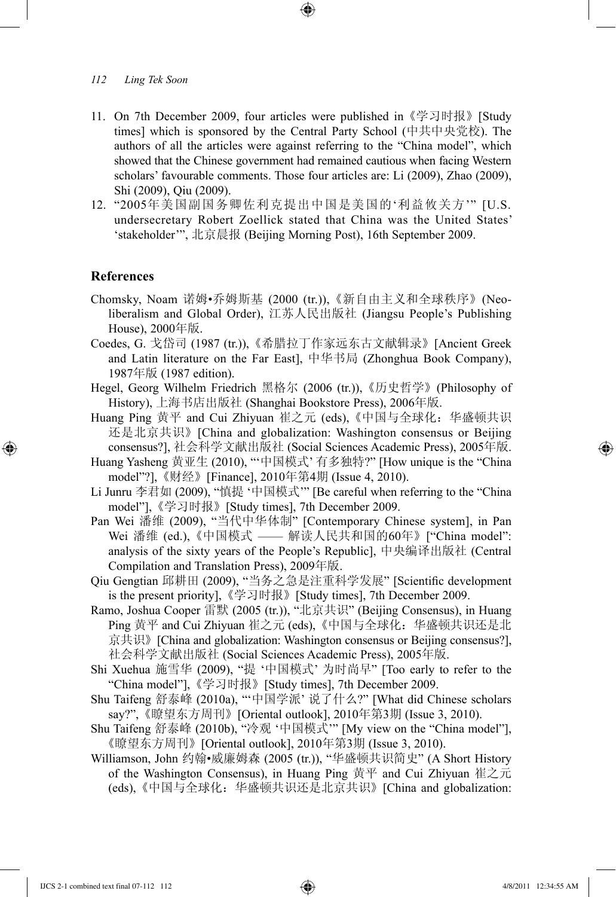#### *112 Ling Tek Soon*

11. On 7th December 2009, four articles were published in《学习时报》[Study times] which is sponsored by the Central Party School (中共中央党校). The authors of all the articles were against referring to the "China model", which showed that the Chinese government had remained cautious when facing Western scholars' favourable comments. Those four articles are: Li (2009), Zhao (2009), Shi (2009), Qiu (2009).

⊕

12. "2005年美国副国务卿佐利克提出中国是美国的'利益攸关方'" [U.S. undersecretary Robert Zoellick stated that China was the United States' 'stakeholder'", 北京晨报 (Beijing Morning Post), 16th September 2009.

### **References**

⊕

- Chomsky, Noam 诺姆•乔姆斯基 (2000 (tr.)),《新自由主义和全球秩序》(Neoliberalism and Global Order), 江苏人民出版社 (Jiangsu People's Publishing House), 2000年版.
- Coedes, G. 戈岱司 (1987 (tr.)),《希腊拉丁作家远东古文献辑录》[Ancient Greek and Latin literature on the Far East], 中华书局 (Zhonghua Book Company), 1987年版 (1987 edition).
- Hegel, Georg Wilhelm Friedrich 黑格尔 (2006 (tr.)),《历史哲学》(Philosophy of History), 上海书店出版社 (Shanghai Bookstore Press), 2006年版.
- Huang Ping 黄平 and Cui Zhiyuan 崔之元 (eds), 《中国与全球化: 华盛顿共识 还是北京共识》[China and globalization: Washington consensus or Beijing consensus?], 社会科学文献出版社 (Social Sciences Academic Press), 2005年版.
- Huang Yasheng 黄亚生 (2010), "'中国模式' 有多独特?" [How unique is the "China model"?],《财经》[Finance], 2010年第4期 (Issue 4, 2010).
- Li Junru 李君如 (2009), "慎提 '中国模式'" [Be careful when referring to the "China model"],《学习时报》[Study times], 7th December 2009.
- Pan Wei 潘维 (2009), "当代中华体制" [Contemporary Chinese system], in Pan Wei 潘维 (ed.),《中国模式 —— 解读人民共和国的60年》["China model": analysis of the sixty years of the People's Republic], 中央编译出版社 (Central Compilation and Translation Press), 2009年版.
- Qiu Gengtian 邱耕田 (2009), "当务之急是注重科学发展" [Scientific development is the present priority],《学习时报》[Study times], 7th December 2009.
- Ramo, Joshua Cooper 雷默 (2005 (tr.)), "北京共识" (Beijing Consensus), in Huang Ping 黄平 and Cui Zhiyuan 崔之元 (eds),《中国与全球化:华盛顿共识还是北 京共识》[China and globalization: Washington consensus or Beijing consensus?], 社会科学文献出版社 (Social Sciences Academic Press), 2005年版.
- Shi Xuehua 施雪华 (2009), "提 '中国模式' 为时尚早" [Too early to refer to the "China model"],《学习时报》[Study times], 7th December 2009.
- Shu Taifeng 舒泰峰 (2010a), "'中国学派' 说了什么?" [What did Chinese scholars say?",《瞭望东方周刊》[Oriental outlook], 2010年第3期 (Issue 3, 2010).
- Shu Taifeng 舒泰峰 (2010b), "冷观 '中国模式'" [My view on the "China model"], 《瞭望东方周刊》[Oriental outlook], 2010年第3期 (Issue 3, 2010).
- Williamson, John 约翰•威廉姆森 (2005 (tr.)), "华盛顿共识简史" (A Short History of the Washington Consensus), in Huang Ping 黄平 and Cui Zhiyuan 崔之元 (eds),《中国与全球化:华盛顿共识还是北京共识》[China and globalization:

↔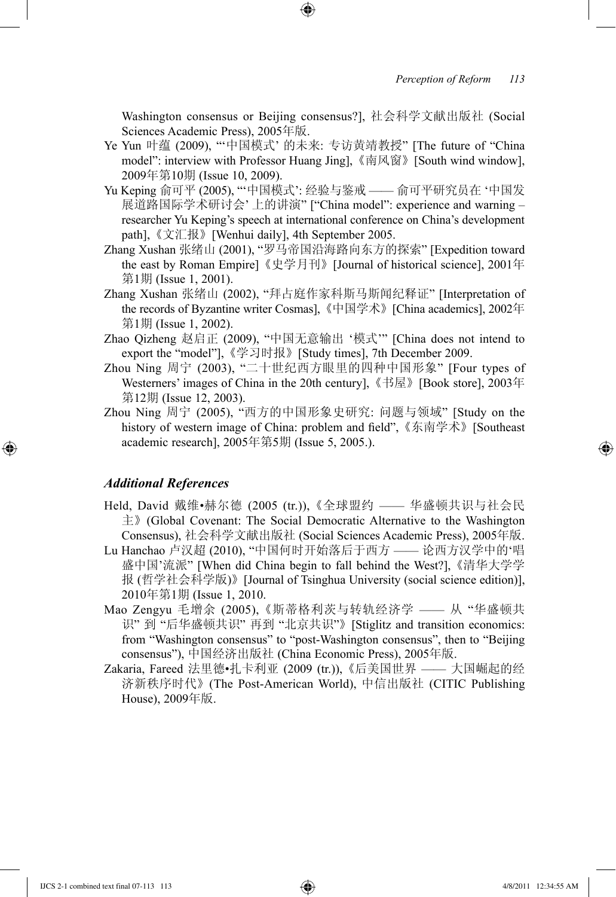Washington consensus or Beijing consensus?], 社会科学文献出版社 (Social Sciences Academic Press), 2005年版.

Ye Yun 叶蕴 (2009), "'中国模式' 的未来: 专访黄靖教授" [The future of "China model": interview with Professor Huang Jing],《南风窗》[South wind window], 2009年第10期 (Issue 10, 2009).

⊕

- Yu Keping 俞可平 (2005), "'中国模式': 经验与鉴戒 —— 俞可平研究员在 '中国发 展道路国际学术研讨会' 上的讲演" ["China model": experience and warning – researcher Yu Keping's speech at international conference on China's development path],《文汇报》[Wenhui daily], 4th September 2005.
- Zhang Xushan 张绪山 (2001), "罗马帝国沿海路向东方的探索" [Expedition toward the east by Roman Empire]《史学月刊》[Journal of historical science], 2001年 第1期 (Issue 1, 2001).
- Zhang Xushan 张绪山 (2002), "拜占庭作家科斯马斯闻纪释证" [Interpretation of the records of Byzantine writer Cosmas],《中国学术》[China academics], 2002年 第1期 (Issue 1, 2002).
- Zhao Qizheng 赵启正 (2009), "中国无意输出 '模式'" [China does not intend to export the "model"],《学习时报》[Study times], 7th December 2009.
- Zhou Ning 周宁 (2003), "二十世纪西方眼里的四种中国形象" [Four types of Westerners' images of China in the 20th century], 《书屋》[Book store], 2003年 第12期 (Issue 12, 2003).
- Zhou Ning 周宁 (2005), "西方的中国形象史研究: 问题与领域" [Study on the history of western image of China: problem and field", 《东南学术》[Southeast academic research], 2005年第5期 (Issue 5, 2005.).

#### *Additional References*

⊕

- Held, David 戴维•赫尔德 (2005 (tr.)),《全球盟约 —— 华盛顿共识与社会民  $\pm$  (Global Covenant: The Social Democratic Alternative to the Washington Consensus), 社会科学文献出版社 (Social Sciences Academic Press), 2005年版.
- Lu Hanchao 卢汉超 (2010), "中国何时开始落后于西方 —— 论西方汉学中的'唱 盛中国'流派" [When did China begin to fall behind the West?],《清华大学学 报 (哲学社会科学版)》[Journal of Tsinghua University (social science edition)], 2010年第1期 (Issue 1, 2010.
- Mao Zengyu 毛增余 (2005),《斯蒂格利茨与转轨经济学 —— 从 "华盛顿共 识" 到 "后华盛顿共识" 再到 "北京共识"》[Stiglitz and transition economics: from "Washington consensus" to "post-Washington consensus", then to "Beijing consensus"), 中国经济出版社 (China Economic Press), 2005年版.
- Zakaria, Fareed 法里德•扎卡利亚 (2009 (tr.)),《后美国世界 —— 大国崛起的经 济新秩序时代》(The Post-American World), 中信出版社 (CITIC Publishing House), 2009年版.